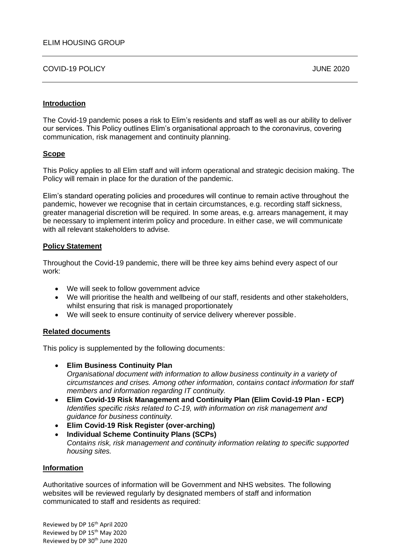COVID-19 POLICY JUNE 2020

## **Introduction**

The Covid-19 pandemic poses a risk to Elim's residents and staff as well as our ability to deliver our services. This Policy outlines Elim's organisational approach to the coronavirus, covering communication, risk management and continuity planning.

# **Scope**

This Policy applies to all Elim staff and will inform operational and strategic decision making. The Policy will remain in place for the duration of the pandemic.

Elim's standard operating policies and procedures will continue to remain active throughout the pandemic, however we recognise that in certain circumstances, e.g. recording staff sickness, greater managerial discretion will be required. In some areas, e.g. arrears management, it may be necessary to implement interim policy and procedure. In either case, we will communicate with all relevant stakeholders to advise.

# **Policy Statement**

Throughout the Covid-19 pandemic, there will be three key aims behind every aspect of our work:

- We will seek to follow government advice
- We will prioritise the health and wellbeing of our staff, residents and other stakeholders, whilst ensuring that risk is managed proportionately
- We will seek to ensure continuity of service delivery wherever possible.

## **Related documents**

This policy is supplemented by the following documents:

- **Elim Business Continuity Plan** *Organisational document with information to allow business continuity in a variety of circumstances and crises. Among other information, contains contact information for staff members and information regarding IT continuity.*
- **Elim Covid-19 Risk Management and Continuity Plan (Elim Covid-19 Plan - ECP)** *Identifies specific risks related to C-19, with information on risk management and guidance for business continuity.*
- **Elim Covid-19 Risk Register (over-arching)**
- **Individual Scheme Continuity Plans (SCPs)** *Contains risk, risk management and continuity information relating to specific supported housing sites.*

## **Information**

Authoritative sources of information will be Government and NHS websites. The following websites will be reviewed regularly by designated members of staff and information communicated to staff and residents as required: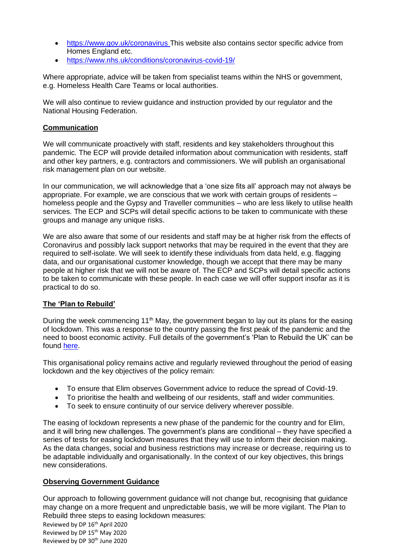- <https://www.gov.uk/coronavirus> This website also contains sector specific advice from Homes England etc.
- <https://www.nhs.uk/conditions/coronavirus-covid-19/>

Where appropriate, advice will be taken from specialist teams within the NHS or government, e.g. Homeless Health Care Teams or local authorities.

We will also continue to review guidance and instruction provided by our regulator and the National Housing Federation.

# **Communication**

We will communicate proactively with staff, residents and key stakeholders throughout this pandemic. The ECP will provide detailed information about communication with residents, staff and other key partners, e.g. contractors and commissioners. We will publish an organisational risk management plan on our website.

In our communication, we will acknowledge that a 'one size fits all' approach may not always be appropriate. For example, we are conscious that we work with certain groups of residents – homeless people and the Gypsy and Traveller communities – who are less likely to utilise health services. The ECP and SCPs will detail specific actions to be taken to communicate with these groups and manage any unique risks.

We are also aware that some of our residents and staff may be at higher risk from the effects of Coronavirus and possibly lack support networks that may be required in the event that they are required to self-isolate. We will seek to identify these individuals from data held, e.g. flagging data, and our organisational customer knowledge, though we accept that there may be many people at higher risk that we will not be aware of. The ECP and SCPs will detail specific actions to be taken to communicate with these people. In each case we will offer support insofar as it is practical to do so.

## **The 'Plan to Rebuild'**

During the week commencing 11<sup>th</sup> May, the government began to lay out its plans for the easing of lockdown. This was a response to the country passing the first peak of the pandemic and the need to boost economic activity. Full details of the government's 'Plan to Rebuild the UK' can be found [here.](https://www.gov.uk/government/publications/our-plan-to-rebuild-the-uk-governments-covid-19-recovery-strategy)

This organisational policy remains active and regularly reviewed throughout the period of easing lockdown and the key objectives of the policy remain:

- To ensure that Elim observes Government advice to reduce the spread of Covid-19.
- To prioritise the health and wellbeing of our residents, staff and wider communities.
- To seek to ensure continuity of our service delivery wherever possible.

The easing of lockdown represents a new phase of the pandemic for the country and for Elim, and it will bring new challenges. The government's plans are conditional – they have specified a series of tests for easing lockdown measures that they will use to inform their decision making. As the data changes, social and business restrictions may increase or decrease, requiring us to be adaptable individually and organisationally. In the context of our key objectives, this brings new considerations.

## **Observing Government Guidance**

Our approach to following government guidance will not change but, recognising that guidance may change on a more frequent and unpredictable basis, we will be more vigilant. The Plan to Rebuild three steps to easing lockdown measures: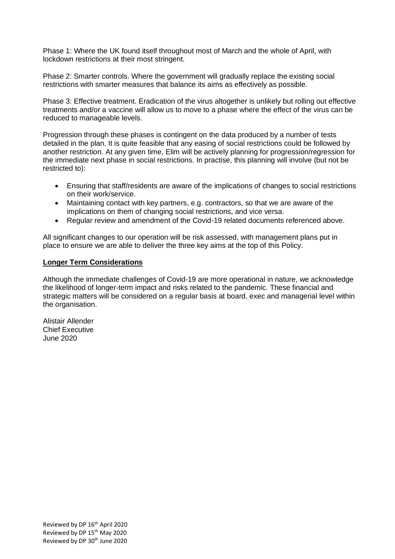Phase 1: Where the UK found itself throughout most of March and the whole of April, with lockdown restrictions at their most stringent.

Phase 2: Smarter controls. Where the government will gradually replace the existing social restrictions with smarter measures that balance its aims as effectively as possible.

Phase 3: Effective treatment. Eradication of the virus altogether is unlikely but rolling out effective treatments and/or a vaccine will allow us to move to a phase where the effect of the virus can be reduced to manageable levels.

Progression through these phases is contingent on the data produced by a number of tests detailed in the plan. It is quite feasible that any easing of social restrictions could be followed by another restriction. At any given time, Elim will be actively planning for progression/regression for the immediate next phase in social restrictions. In practise, this planning will involve (but not be restricted to):

- Ensuring that staff/residents are aware of the implications of changes to social restrictions on their work/service.
- Maintaining contact with key partners, e.g. contractors, so that we are aware of the implications on them of changing social restrictions, and vice versa.
- Regular review and amendment of the Covid-19 related documents referenced above.

All significant changes to our operation will be risk assessed, with management plans put in place to ensure we are able to deliver the three key aims at the top of this Policy.

## **Longer Term Considerations**

Although the immediate challenges of Covid-19 are more operational in nature, we acknowledge the likelihood of longer-term impact and risks related to the pandemic. These financial and strategic matters will be considered on a regular basis at board, exec and managerial level within the organisation.

Alistair Allender Chief Executive June 2020